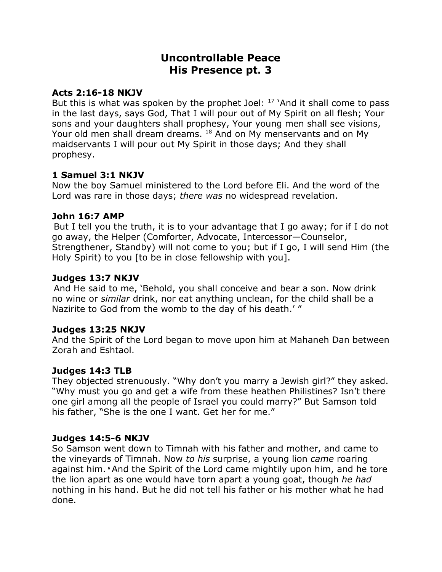# **Uncontrollable Peace His Presence pt. 3**

#### **Acts 2:16-18 NKJV**

But this is what was spoken by the prophet Joel:  $17$  'And it shall come to pass in the last days, says God, That I will pour out of My Spirit on all flesh; Your sons and your daughters shall prophesy, Your young men shall see visions, Your old men shall dream dreams. <sup>18</sup> And on My menservants and on My maidservants I will pour out My Spirit in those days; And they shall prophesy.

### **1 Samuel 3:1 NKJV**

Now the boy Samuel ministered to the Lord before Eli. And the word of the Lord was rare in those days; *there was* no widespread revelation.

#### **John 16:7 AMP**

But I tell you the truth, it is to your advantage that I go away; for if I do not go away, the Helper (Comforter, Advocate, Intercessor—Counselor, Strengthener, Standby) will not come to you; but if I go, I will send Him (the Holy Spirit) to you [to be in close fellowship with you].

#### **Judges 13:7 NKJV**

And He said to me, 'Behold, you shall conceive and bear a son. Now drink no wine or *similar* drink, nor eat anything unclean, for the child shall be a Nazirite to God from the womb to the day of his death.' "

### **Judges 13:25 NKJV**

And the Spirit of the Lord began to move upon him at Mahaneh Dan between Zorah and Eshtaol.

### **Judges 14:3 TLB**

They objected strenuously. "Why don't you marry a Jewish girl?" they asked. "Why must you go and get a wife from these heathen Philistines? Isn't there one girl among all the people of Israel you could marry?" But Samson told his father, "She is the one I want. Get her for me."

#### **Judges 14:5-6 NKJV**

So Samson went down to Timnah with his father and mother, and came to the vineyards of Timnah. Now *to his* surprise, a young lion *came* roaring against him. **<sup>6</sup>** And the Spirit of the Lord came mightily upon him, and he tore the lion apart as one would have torn apart a young goat, though *he had* nothing in his hand. But he did not tell his father or his mother what he had done.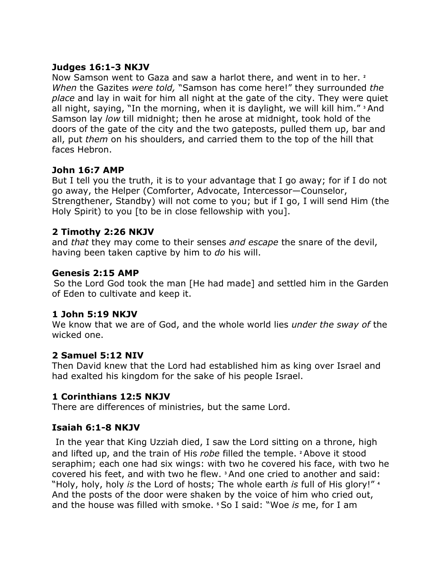### **Judges 16:1-3 NKJV**

Now Samson went to Gaza and saw a harlot there, and went in to her. **<sup>2</sup>** *When* the Gazites *were told,* "Samson has come here!" they surrounded *the place* and lay in wait for him all night at the gate of the city. They were quiet all night, saying, "In the morning, when it is daylight, we will kill him." **<sup>3</sup>** And Samson lay *low* till midnight; then he arose at midnight, took hold of the doors of the gate of the city and the two gateposts, pulled them up, bar and all, put *them* on his shoulders, and carried them to the top of the hill that faces Hebron.

### **John 16:7 AMP**

But I tell you the truth, it is to your advantage that I go away; for if I do not go away, the Helper (Comforter, Advocate, Intercessor—Counselor, Strengthener, Standby) will not come to you; but if I go, I will send Him (the Holy Spirit) to you [to be in close fellowship with you].

### **2 Timothy 2:26 NKJV**

and *that* they may come to their senses *and escape* the snare of the devil, having been taken captive by him to *do* his will.

### **Genesis 2:15 AMP**

So the Lord God took the man [He had made] and settled him in the Garden of Eden to cultivate and keep it.

### **1 John 5:19 NKJV**

We know that we are of God, and the whole world lies *under the sway of* the wicked one.

# **2 Samuel 5:12 NIV**

Then David knew that the Lord had established him as king over Israel and had exalted his kingdom for the sake of his people Israel.

# **1 Corinthians 12:5 NKJV**

There are differences of ministries, but the same Lord.

# **Isaiah 6:1-8 NKJV**

In the year that King Uzziah died, I saw the Lord sitting on a throne, high and lifted up, and the train of His *robe* filled the temple. **<sup>2</sup>** Above it stood seraphim; each one had six wings: with two he covered his face, with two he covered his feet, and with two he flew. **<sup>3</sup>** And one cried to another and said: "Holy, holy, holy *is* the Lord of hosts; The whole earth *is* full of His glory!" **<sup>4</sup>** And the posts of the door were shaken by the voice of him who cried out, and the house was filled with smoke. **<sup>5</sup>** So I said: "Woe *is* me, for I am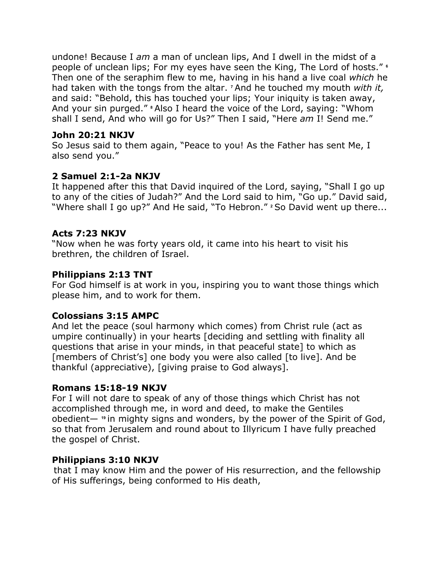undone! Because I *am* a man of unclean lips, And I dwell in the midst of a people of unclean lips; For my eyes have seen the King, The Lord of hosts." **<sup>6</sup>** Then one of the seraphim flew to me, having in his hand a live coal *which* he had taken with the tongs from the altar. **<sup>7</sup>** And he touched my mouth *with it,* and said: "Behold, this has touched your lips; Your iniquity is taken away, And your sin purged." **<sup>8</sup>** Also I heard the voice of the Lord, saying: "Whom shall I send, And who will go for Us?" Then I said, "Here *am* I! Send me."

### **John 20:21 NKJV**

So Jesus said to them again, "Peace to you! As the Father has sent Me, I also send you."

# **2 Samuel 2:1-2a NKJV**

It happened after this that David inquired of the Lord, saying, "Shall I go up to any of the cities of Judah?" And the Lord said to him, "Go up." David said, "Where shall I go up?" And He said, "To Hebron." **<sup>2</sup>** So David went up there...

# **Acts 7:23 NKJV**

"Now when he was forty years old, it came into his heart to visit his brethren, the children of Israel.

### **Philippians 2:13 TNT**

For God himself is at work in you, inspiring you to want those things which please him, and to work for them.

# **Colossians 3:15 AMPC**

And let the peace (soul harmony which comes) from Christ rule (act as umpire continually) in your hearts [deciding and settling with finality all questions that arise in your minds, in that peaceful state] to which as [members of Christ's] one body you were also called [to live]. And be thankful (appreciative), [giving praise to God always].

### **Romans 15:18-19 NKJV**

For I will not dare to speak of any of those things which Christ has not accomplished through me, in word and deed, to make the Gentiles obedient— **<sup>19</sup>** in mighty signs and wonders, by the power of the Spirit of God, so that from Jerusalem and round about to Illyricum I have fully preached the gospel of Christ.

# **Philippians 3:10 NKJV**

that I may know Him and the power of His resurrection, and the fellowship of His sufferings, being conformed to His death,